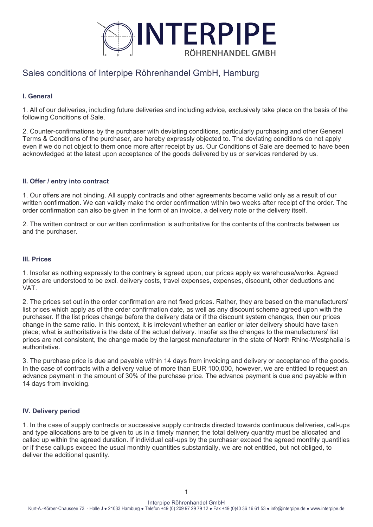

# Sales conditions of Interpipe Röhrenhandel GmbH, Hamburg

## **I. General**

1. All of our deliveries, including future deliveries and including advice, exclusively take place on the basis of the following Conditions of Sale.

2. Counter-confirmations by the purchaser with deviating conditions, particularly purchasing and other General Terms & Conditions of the purchaser, are hereby expressly objected to. The deviating conditions do not apply even if we do not object to them once more after receipt by us. Our Conditions of Sale are deemed to have been acknowledged at the latest upon acceptance of the goods delivered by us or services rendered by us.

## **II. Offer / entry into contract**

1. Our offers are not binding. All supply contracts and other agreements become valid only as a result of our written confirmation. We can validly make the order confirmation within two weeks after receipt of the order. The order confirmation can also be given in the form of an invoice, a delivery note or the delivery itself.

2. The written contract or our written confirmation is authoritative for the contents of the contracts between us and the purchaser.

## **III. Prices**

1. Insofar as nothing expressly to the contrary is agreed upon, our prices apply ex warehouse/works. Agreed prices are understood to be excl. delivery costs, travel expenses, expenses, discount, other deductions and VAT.

2. The prices set out in the order confirmation are not fixed prices. Rather, they are based on the manufacturers' list prices which apply as of the order confirmation date, as well as any discount scheme agreed upon with the purchaser. If the list prices change before the delivery data or if the discount system changes, then our prices change in the same ratio. In this context, it is irrelevant whether an earlier or later delivery should have taken place; what is authoritative is the date of the actual delivery. Insofar as the changes to the manufacturers' list prices are not consistent, the change made by the largest manufacturer in the state of North Rhine-Westphalia is authoritative.

3. The purchase price is due and payable within 14 days from invoicing and delivery or acceptance of the goods. In the case of contracts with a delivery value of more than EUR 100,000, however, we are entitled to request an advance payment in the amount of 30% of the purchase price. The advance payment is due and payable within 14 days from invoicing.

## **IV. Delivery period**

1. In the case of supply contracts or successive supply contracts directed towards continuous deliveries, call-ups and type allocations are to be given to us in a timely manner; the total delivery quantity must be allocated and called up within the agreed duration. If individual call-ups by the purchaser exceed the agreed monthly quantities or if these callups exceed the usual monthly quantities substantially, we are not entitled, but not obliged, to deliver the additional quantity.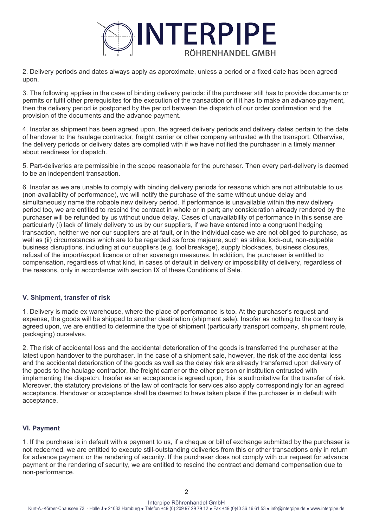

2. Delivery periods and dates always apply as approximate, unless a period or a fixed date has been agreed upon.

3. The following applies in the case of binding delivery periods: if the purchaser still has to provide documents or permits or fulfil other prerequisites for the execution of the transaction or if it has to make an advance payment, then the delivery period is postponed by the period between the dispatch of our order confirmation and the provision of the documents and the advance payment.

4. Insofar as shipment has been agreed upon, the agreed delivery periods and delivery dates pertain to the date of handover to the haulage contractor, freight carrier or other company entrusted with the transport. Otherwise, the delivery periods or delivery dates are complied with if we have notified the purchaser in a timely manner about readiness for dispatch.

5. Part-deliveries are permissible in the scope reasonable for the purchaser. Then every part-delivery is deemed to be an independent transaction.

6. Insofar as we are unable to comply with binding delivery periods for reasons which are not attributable to us (non-availability of performance), we will notify the purchase of the same without undue delay and simultaneously name the robable new delivery period. If performance is unavailable within the new delivery period too, we are entitled to rescind the contract in whole or in part; any consideration already rendered by the purchaser will be refunded by us without undue delay. Cases of unavailability of performance in this sense are particularly (i) lack of timely delivery to us by our suppliers, if we have entered into a congruent hedging transaction, neither we nor our suppliers are at fault, or in the individual case we are not obliged to purchase, as well as (ii) circumstances which are to be regarded as force majeure, such as strike, lock-out, non-culpable business disruptions, including at our suppliers (e.g. tool breakage), supply blockades, business closures, refusal of the import/export licence or other sovereign measures. In addition, the purchaser is entitled to compensation, regardless of what kind, in cases of default in delivery or impossibility of delivery, regardless of the reasons, only in accordance with section IX of these Conditions of Sale.

## **V. Shipment, transfer of risk**

1. Delivery is made ex warehouse, where the place of performance is too. At the purchaser's request and expense, the goods will be shipped to another destination (shipment sale). Insofar as nothing to the contrary is agreed upon, we are entitled to determine the type of shipment (particularly transport company, shipment route, packaging) ourselves.

2. The risk of accidental loss and the accidental deterioration of the goods is transferred the purchaser at the latest upon handover to the purchaser. In the case of a shipment sale, however, the risk of the accidental loss and the accidental deterioration of the goods as well as the delay risk are already transferred upon delivery of the goods to the haulage contractor, the freight carrier or the other person or institution entrusted with implementing the dispatch. Insofar as an acceptance is agreed upon, this is authoritative for the transfer of risk. Moreover, the statutory provisions of the law of contracts for services also apply correspondingly for an agreed acceptance. Handover or acceptance shall be deemed to have taken place if the purchaser is in default with acceptance.

## **VI. Payment**

1. If the purchase is in default with a payment to us, if a cheque or bill of exchange submitted by the purchaser is not redeemed, we are entitled to execute still-outstanding deliveries from this or other transactions only in return for advance payment or the rendering of security. If the purchaser does not comply with our request for advance payment or the rendering of security, we are entitled to rescind the contract and demand compensation due to non-performance.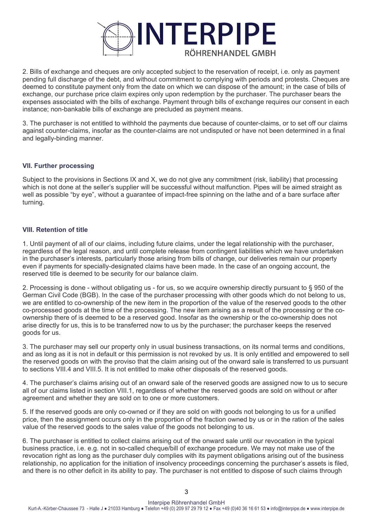

2. Bills of exchange and cheques are only accepted subject to the reservation of receipt, i.e. only as payment pending full discharge of the debt, and without commitment to complying with periods and protests. Cheques are deemed to constitute payment only from the date on which we can dispose of the amount; in the case of bills of exchange, our purchase price claim expires only upon redemption by the purchaser. The purchaser bears the expenses associated with the bills of exchange. Payment through bills of exchange requires our consent in each instance; non-bankable bills of exchange are precluded as payment means.

3. The purchaser is not entitled to withhold the payments due because of counter-claims, or to set off our claims against counter-claims, insofar as the counter-claims are not undisputed or have not been determined in a final and legally-binding manner.

## **VII. Further processing**

Subject to the provisions in Sections IX and X, we do not give any commitment (risk, liability) that processing which is not done at the seller's supplier will be successful without malfunction. Pipes will be aimed straight as well as possible "by eye", without a guarantee of impact-free spinning on the lathe and of a bare surface after turning.

## **VIII. Retention of title**

1. Until payment of all of our claims, including future claims, under the legal relationship with the purchaser, regardless of the legal reason, and until complete release from contingent liabilities which we have undertaken in the purchaser's interests, particularly those arising from bills of change, our deliveries remain our property even if payments for specially-designated claims have been made. In the case of an ongoing account, the reserved title is deemed to be security for our balance claim.

2. Processing is done - without obligating us - for us, so we acquire ownership directly pursuant to § 950 of the German Civil Code (BGB). In the case of the purchaser processing with other goods which do not belong to us, we are entitled to co-ownership of the new item in the proportion of the value of the reserved goods to the other co-processed goods at the time of the processing. The new item arising as a result of the processing or the coownership there of is deemed to be a reserved good. Insofar as the ownership or the co-ownership does not arise directly for us, this is to be transferred now to us by the purchaser; the purchaser keeps the reserved goods for us.

3. The purchaser may sell our property only in usual business transactions, on its normal terms and conditions, and as long as it is not in default or this permission is not revoked by us. It is only entitled and empowered to sell the reserved goods on with the proviso that the claim arising out of the onward sale is transferred to us pursuant to sections VIII.4 and VIII.5. It is not entitled to make other disposals of the reserved goods.

4. The purchaser's claims arising out of an onward sale of the reserved goods are assigned now to us to secure all of our claims listed in section VIII.1, regardless of whether the reserved goods are sold on without or after agreement and whether they are sold on to one or more customers.

5. If the reserved goods are only co-owned or if they are sold on with goods not belonging to us for a unified price, then the assignment occurs only in the proportion of the fraction owned by us or in the ration of the sales value of the reserved goods to the sales value of the goods not belonging to us.

6. The purchaser is entitled to collect claims arising out of the onward sale until our revocation in the typical business practice, i.e. e.g. not in so-called cheque/bill of exchange procedure. We may not make use of the revocation right as long as the purchaser duly complies with its payment obligations arising out of the business relationship, no application for the initiation of insolvency proceedings concerning the purchaser's assets is filed, and there is no other deficit in its ability to pay. The purchaser is not entitled to dispose of such claims through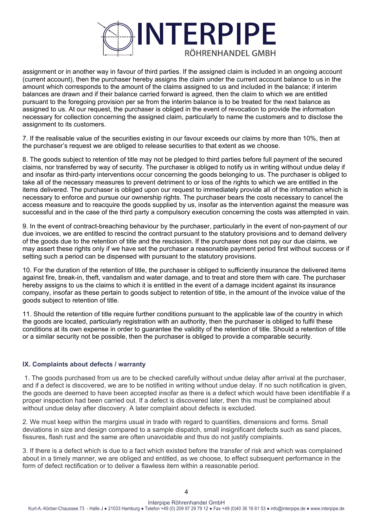

assignment or in another way in favour of third parties. If the assigned claim is included in an ongoing account (current account), then the purchaser hereby assigns the claim under the current account balance to us in the amount which corresponds to the amount of the claims assigned to us and included in the balance; if interim balances are drawn and if their balance carried forward is agreed, then the claim to which we are entitled pursuant to the foregoing provision per se from the interim balance is to be treated for the next balance as assigned to us. At our request, the purchaser is obliged in the event of revocation to provide the information necessary for collection concerning the assigned claim, particularly to name the customers and to disclose the assignment to its customers.

7. If the realisable value of the securities existing in our favour exceeds our claims by more than 10%, then at the purchaser's request we are obliged to release securities to that extent as we choose.

8. The goods subject to retention of title may not be pledged to third parties before full payment of the secured claims, nor transferred by way of security. The purchaser is obliged to notify us in writing without undue delay if and insofar as third-party interventions occur concerning the goods belonging to us. The purchaser is obliged to take all of the necessary measures to prevent detriment to or loss of the rights to which we are entitled in the items delivered. The purchaser is obliged upon our request to immediately provide all of the information which is necessary to enforce and pursue our ownership rights. The purchaser bears the costs necessary to cancel the access measure and to reacquire the goods supplied by us, insofar as the intervention against the measure was successful and in the case of the third party a compulsory execution concerning the costs was attempted in vain.

9. In the event of contract-breaching behaviour by the purchaser, particularly in the event of non-payment of our due invoices, we are entitled to rescind the contract pursuant to the statutory provisions and to demand delivery of the goods due to the retention of title and the rescission. If the purchaser does not pay our due claims, we may assert these rights only if we have set the purchaser a reasonable payment period first without success or if setting such a period can be dispensed with pursuant to the statutory provisions.

10. For the duration of the retention of title, the purchaser is obliged to sufficiently insurance the delivered items against fire, break-in, theft, vandalism and water damage, and to treat and store them with care. The purchaser hereby assigns to us the claims to which it is entitled in the event of a damage incident against its insurance company, insofar as these pertain to goods subject to retention of title, in the amount of the invoice value of the goods subject to retention of title.

11. Should the retention of title require further conditions pursuant to the applicable law of the country in which the goods are located, particularly registration with an authority, then the purchaser is obliged to fulfil these conditions at its own expense in order to guarantee the validity of the retention of title. Should a retention of title or a similar security not be possible, then the purchaser is obliged to provide a comparable security.

## **IX. Complaints about defects / warranty**

 1. The goods purchased from us are to be checked carefully without undue delay after arrival at the purchaser, and if a defect is discovered, we are to be notified in writing without undue delay. If no such notification is given, the goods are deemed to have been accepted insofar as there is a defect which would have been identifiable if a proper inspection had been carried out. If a defect is discovered later, then this must be complained about without undue delay after discovery. A later complaint about defects is excluded.

2. We must keep within the margins usual in trade with regard to quantities, dimensions and forms. Small deviations in size and design compared to a sample dispatch, small insignificant defects such as sand places, fissures, flash rust and the same are often unavoidable and thus do not justify complaints.

3. If there is a defect which is due to a fact which existed before the transfer of risk and which was complained about in a timely manner, we are obliged and entitled, as we choose, to effect subsequent performance in the form of defect rectification or to deliver a flawless item within a reasonable period.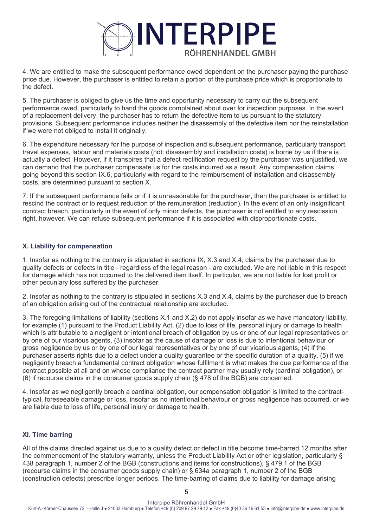

4. We are entitled to make the subsequent performance owed dependent on the purchaser paying the purchase price due. However, the purchaser is entitled to retain a portion of the purchase price which is proportionate to the defect.

5. The purchaser is obliged to give us the time and opportunity necessary to carry out the subsequent performance owed, particularly to hand the goods complained about over for inspection purposes. In the event of a replacement delivery, the purchaser has to return the defective item to us pursuant to the statutory provisions. Subsequent performance includes neither the disassembly of the defective item nor the reinstallation if we were not obliged to install it originally.

6. The expenditure necessary for the purpose of inspection and subsequent performance, particularly transport, travel expenses, labour and materials costs (not: disassembly and installation costs) is borne by us if there is actually a defect. However, if it transpires that a defect rectification request by the purchaser was unjustified, we can demand that the purchaser compensate us for the costs incurred as a result. Any compensation claims going beyond this section IX.6, particularly with regard to the reimbursement of installation and disassembly costs, are determined pursuant to section X.

7. If the subsequent performance fails or if it is unreasonable for the purchaser, then the purchaser is entitled to rescind the contract or to request reduction of the remuneration (reduction). In the event of an only insignificant contract breach, particularly in the event of only minor defects, the purchaser is not entitled to any rescission right, however. We can refuse subsequent performance if it is associated with disproportionate costs.

## **X. Liability for compensation**

1. Insofar as nothing to the contrary is stipulated in sections IX, X.3 and X.4, claims by the purchaser due to quality defects or defects in title - regardless of the legal reason - are excluded. We are not liable in this respect for damage which has not occurred to the delivered item itself. In particular, we are not liable for lost profit or other pecuniary loss suffered by the purchaser.

2. Insofar as nothing to the contrary is stipulated in sections X.3 and X.4, claims by the purchaser due to breach of an obligation arising out of the contractual relationship are excluded.

3. The foregoing limitations of liability (sections X.1 and X.2) do not apply insofar as we have mandatory liability, for example (1) pursuant to the Product Liability Act, (2) due to loss of life, personal injury or damage to health which is attributable to a negligent or intentional breach of obligation by us or one of our legal representatives or by one of our vicarious agents, (3) insofar as the cause of damage or loss is due to intentional behaviour or gross negligence by us or by one of our legal representatives or by one of our vicarious agents, (4) if the purchaser asserts rights due to a defect under a quality guarantee or the specific duration of a quality, (5) if we negligently breach a fundamental contract obligation whose fulfilment is what makes the due performance of the contract possible at all and on whose compliance the contract partner may usually rely (cardinal obligation), or (6) if recourse claims in the consumer goods supply chain (§ 478 of the BGB) are concerned.

4. Insofar as we negligently breach a cardinal obligation, our compensation obligation is limited to the contracttypical, foreseeable damage or loss, insofar as no intentional behaviour or gross negligence has occurred, or we are liable due to loss of life, personal injury or damage to health.

## **XI. Time barring**

All of the claims directed against us due to a quality defect or defect in title become time-barred 12 months after the commencement of the statutory warranty, unless the Product Liability Act or other legislation, particularly § 438 paragraph 1, number 2 of the BGB (constructions and items for constructions), § 479.1 of the BGB (recourse claims in the consumer goods supply chain) or § 634a paragraph 1, number 2 of the BGB (construction defects) prescribe longer periods. The time-barring of claims due to liability for damage arising